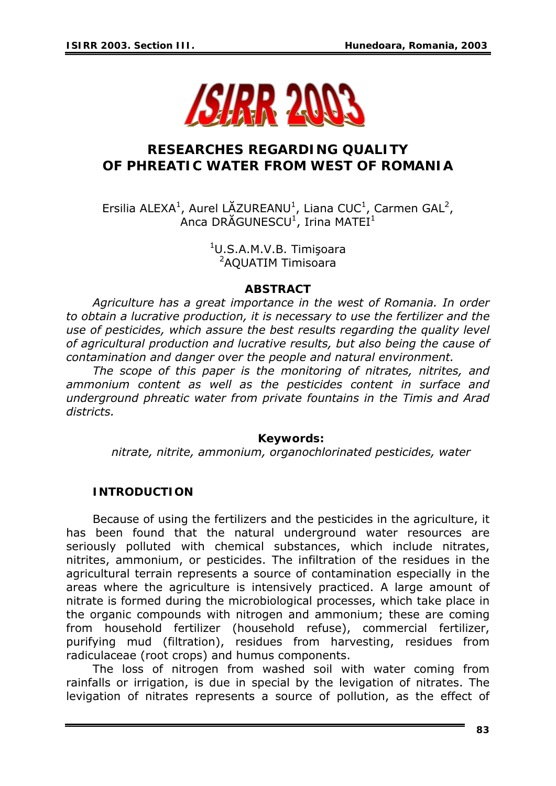

# **RESEARCHES REGARDING QUALITY OF PHREATIC WATER FROM WEST OF ROMANIA**

Ersilia ALEXA<sup>1</sup>, Aurel LĂZUREANU<sup>1</sup>, Liana CUC<sup>1</sup>, Carmen GAL<sup>2</sup>, Anca DRĂGUNESCU<sup>1</sup>, Irina MATEI<sup>1</sup>

> <sup>1</sup>U.S.A.M.V.B. Timişoara 2 AQUATIM Timisoara

### *ABSTRACT*

*Agriculture has a great importance in the west of Romania. In order to obtain a lucrative production, it is necessary to use the fertilizer and the use of pesticides, which assure the best results regarding the quality level of agricultural production and lucrative results, but also being the cause of contamination and danger over the people and natural environment.* 

*The scope of this paper is the monitoring of nitrates, nitrites, and ammonium content as well as the pesticides content in surface and underground phreatic water from private fountains in the Timis and Arad districts.* 

#### *Keywords:*

*nitrate, nitrite, ammonium, organochlorinated pesticides, water* 

### **INTRODUCTION**

Because of using the fertilizers and the pesticides in the agriculture, it has been found that the natural underground water resources are seriously polluted with chemical substances, which include nitrates, nitrites, ammonium, or pesticides. The infiltration of the residues in the agricultural terrain represents a source of contamination especially in the areas where the agriculture is intensively practiced. A large amount of nitrate is formed during the microbiological processes, which take place in the organic compounds with nitrogen and ammonium; these are coming from household fertilizer (household refuse), commercial fertilizer, purifying mud (filtration), residues from harvesting, residues from radiculaceae (root crops) and humus components.

The loss of nitrogen from washed soil with water coming from rainfalls or irrigation, is due in special by the levigation of nitrates. The levigation of nitrates represents a source of pollution, as the effect of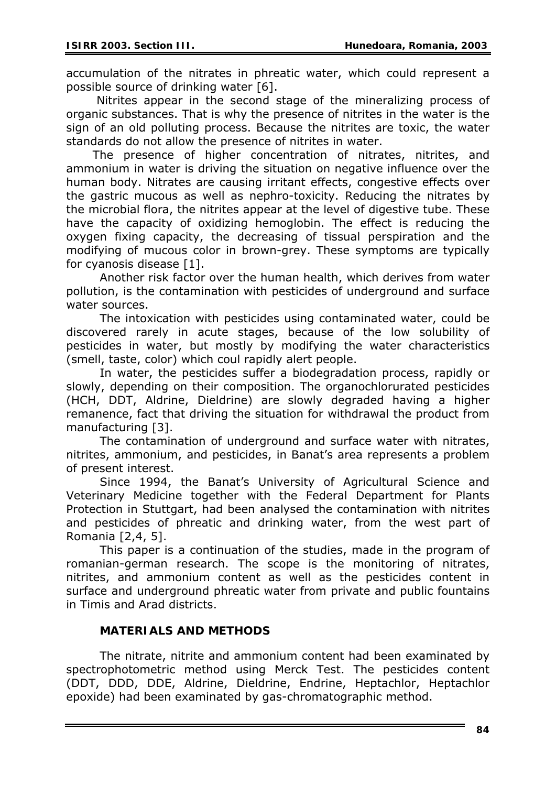accumulation of the nitrates in phreatic water, which could represent a possible source of drinking water [6].

 Nitrites appear in the second stage of the mineralizing process of organic substances. That is why the presence of nitrites in the water is the sign of an old polluting process. Because the nitrites are toxic, the water standards do not allow the presence of nitrites in water.

The presence of higher concentration of nitrates, nitrites, and ammonium in water is driving the situation on negative influence over the human body. Nitrates are causing irritant effects, congestive effects over the gastric mucous as well as nephro-toxicity. Reducing the nitrates by the microbial flora, the nitrites appear at the level of digestive tube. These have the capacity of oxidizing hemoglobin. The effect is reducing the oxygen fixing capacity, the decreasing of tissual perspiration and the modifying of mucous color in brown-grey. These symptoms are typically for cyanosis disease [1].

Another risk factor over the human health, which derives from water pollution, is the contamination with pesticides of underground and surface water sources.

The intoxication with pesticides using contaminated water, could be discovered rarely in acute stages, because of the low solubility of pesticides in water, but mostly by modifying the water characteristics (smell, taste, color) which coul rapidly alert people.

In water, the pesticides suffer a biodegradation process, rapidly or slowly, depending on their composition. The organochlorurated pesticides (HCH, DDT, Aldrine, Dieldrine) are slowly degraded having a higher remanence, fact that driving the situation for withdrawal the product from manufacturing [3].

The contamination of underground and surface water with nitrates, nitrites, ammonium, and pesticides, in Banat's area represents a problem of present interest.

Since 1994, the Banat's University of Agricultural Science and Veterinary Medicine together with the Federal Department for Plants Protection in Stuttgart, had been analysed the contamination with nitrites and pesticides of phreatic and drinking water, from the west part of Romania [2,4, 5].

This paper is a continuation of the studies, made in the program of romanian-german research. The scope is the monitoring of nitrates, nitrites, and ammonium content as well as the pesticides content in surface and underground phreatic water from private and public fountains in Timis and Arad districts.

### **MATERIALS AND METHODS**

The nitrate, nitrite and ammonium content had been examinated by spectrophotometric method using Merck Test. The pesticides content (DDT, DDD, DDE, Aldrine, Dieldrine, Endrine, Heptachlor, Heptachlor epoxide) had been examinated by gas-chromatographic method.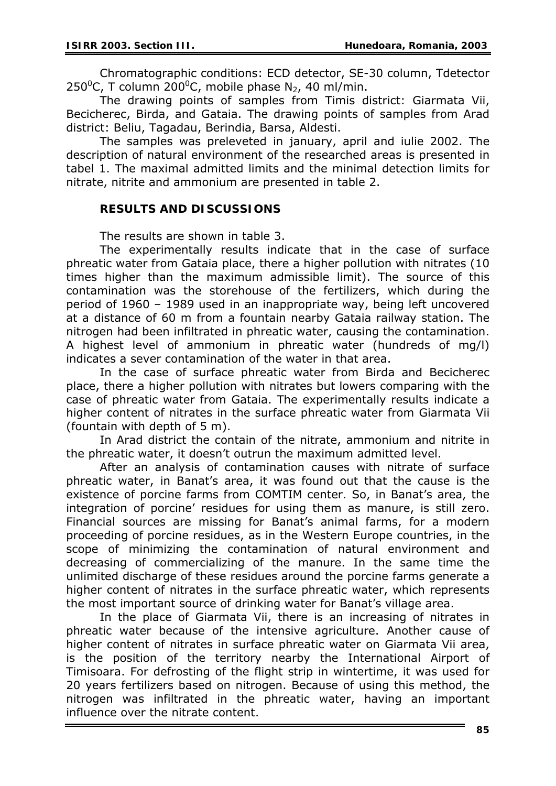Chromatographic conditions: ECD detector, SE-30 column, Tdetector 250<sup>°</sup>C, T column 200<sup>°</sup>C, mobile phase N<sub>2</sub>, 40 ml/min.

The drawing points of samples from Timis district: Giarmata Vii, Becicherec, Birda, and Gataia. The drawing points of samples from Arad district: Beliu, Tagadau, Berindia, Barsa, Aldesti.

 The samples was preleveted in january, april and iulie 2002. The description of natural environment of the researched areas is presented in tabel 1. The maximal admitted limits and the minimal detection limits for nitrate, nitrite and ammonium are presented in table 2.

# **RESULTS AND DISCUSSIONS**

The results are shown in table 3.

The experimentally results indicate that in the case of surface phreatic water from Gataia place, there a higher pollution with nitrates (10 times higher than the maximum admissible limit). The source of this contamination was the storehouse of the fertilizers, which during the period of 1960 – 1989 used in an inappropriate way, being left uncovered at a distance of 60 m from a fountain nearby Gataia railway station. The nitrogen had been infiltrated in phreatic water, causing the contamination. A highest level of ammonium in phreatic water (hundreds of mg/l) indicates a sever contamination of the water in that area.

In the case of surface phreatic water from Birda and Becicherec place, there a higher pollution with nitrates but lowers comparing with the case of phreatic water from Gataia. The experimentally results indicate a higher content of nitrates in the surface phreatic water from Giarmata Vii (fountain with depth of 5 m).

In Arad district the contain of the nitrate, ammonium and nitrite in the phreatic water, it doesn't outrun the maximum admitted level.

After an analysis of contamination causes with nitrate of surface phreatic water, in Banat's area, it was found out that the cause is the existence of porcine farms from COMTIM center. So, in Banat's area, the integration of porcine' residues for using them as manure, is still zero. Financial sources are missing for Banat's animal farms, for a modern proceeding of porcine residues, as in the Western Europe countries, in the scope of minimizing the contamination of natural environment and decreasing of commercializing of the manure. In the same time the unlimited discharge of these residues around the porcine farms generate a higher content of nitrates in the surface phreatic water, which represents the most important source of drinking water for Banat's village area.

In the place of Giarmata Vii, there is an increasing of nitrates in phreatic water because of the intensive agriculture. Another cause of higher content of nitrates in surface phreatic water on Giarmata Vii area, is the position of the territory nearby the International Airport of Timisoara. For defrosting of the flight strip in wintertime, it was used for 20 years fertilizers based on nitrogen. Because of using this method, the nitrogen was infiltrated in the phreatic water, having an important influence over the nitrate content.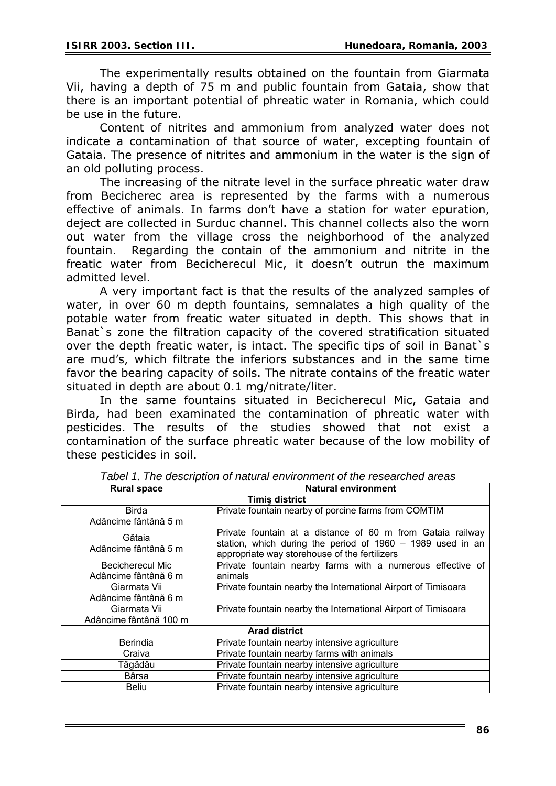The experimentally results obtained on the fountain from Giarmata Vii, having a depth of 75 m and public fountain from Gataia, show that there is an important potential of phreatic water in Romania, which could be use in the future.

Content of nitrites and ammonium from analyzed water does not indicate a contamination of that source of water, excepting fountain of Gataia. The presence of nitrites and ammonium in the water is the sign of an old polluting process.

The increasing of the nitrate level in the surface phreatic water draw from Becicherec area is represented by the farms with a numerous effective of animals. In farms don't have a station for water epuration, deject are collected in Surduc channel. This channel collects also the worn out water from the village cross the neighborhood of the analyzed fountain. Regarding the contain of the ammonium and nitrite in the freatic water from Becicherecul Mic, it doesn't outrun the maximum admitted level.

A very important fact is that the results of the analyzed samples of water, in over 60 m depth fountains, semnalates a high quality of the potable water from freatic water situated in depth. This shows that in Banat's zone the filtration capacity of the covered stratification situated over the depth freatic water, is intact. The specific tips of soil in Banat`s are mud's, which filtrate the inferiors substances and in the same time favor the bearing capacity of soils. The nitrate contains of the freatic water situated in depth are about 0.1 mg/nitrate/liter.

In the same fountains situated in Becicherecul Mic, Gataia and Birda, had been examinated the contamination of phreatic water with pesticides. The results of the studies showed that not exist a contamination of the surface phreatic water because of the low mobility of these pesticides in soil.

| <b>Rural space</b>             | <b>Natural environment</b>                                                                                                                                                |  |  |  |
|--------------------------------|---------------------------------------------------------------------------------------------------------------------------------------------------------------------------|--|--|--|
| <b>Timis district</b>          |                                                                                                                                                                           |  |  |  |
| Birda                          | Private fountain nearby of porcine farms from COMTIM                                                                                                                      |  |  |  |
| Adâncime fântână 5 m           |                                                                                                                                                                           |  |  |  |
| Gătaia<br>Adâncime fântână 5 m | Private fountain at a distance of 60 m from Gataia railway<br>station, which during the period of 1960 - 1989 used in an<br>appropriate way storehouse of the fertilizers |  |  |  |
| <b>Becicherecul Mic</b>        | Private fountain nearby farms with a numerous effective of                                                                                                                |  |  |  |
| Adâncime fântână 6 m           | animals                                                                                                                                                                   |  |  |  |
| Giarmata Vii                   | Private fountain nearby the International Airport of Timisoara                                                                                                            |  |  |  |
| Adâncime fântână 6 m           |                                                                                                                                                                           |  |  |  |
| Giarmata Vii                   | Private fountain nearby the International Airport of Timisoara                                                                                                            |  |  |  |
| Adâncime fântână 100 m         |                                                                                                                                                                           |  |  |  |
| <b>Arad district</b>           |                                                                                                                                                                           |  |  |  |
| <b>Berindia</b>                | Private fountain nearby intensive agriculture                                                                                                                             |  |  |  |
| Craiva                         | Private fountain nearby farms with animals                                                                                                                                |  |  |  |
| Tăgădău                        | Private fountain nearby intensive agriculture                                                                                                                             |  |  |  |
| <b>B</b> ârsa                  | Private fountain nearby intensive agriculture                                                                                                                             |  |  |  |
| <b>Beliu</b>                   | Private fountain nearby intensive agriculture                                                                                                                             |  |  |  |

*Tabel 1. The description of natural environment of the researched areas*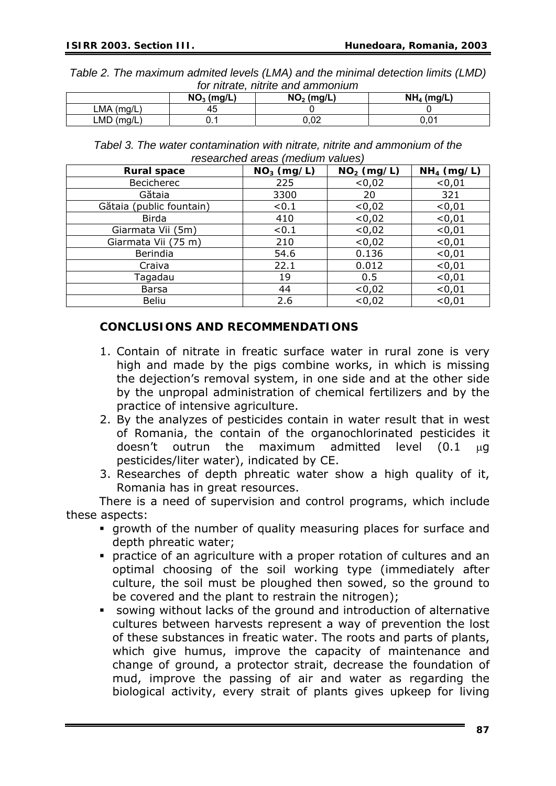*Table 2. The maximum admited levels (LMA) and the minimal detection limits (LMD) for nitrate, nitrite and ammonium* 

|              | $NO3$ (mg/L) | $NO2$ (mg/L) | $NH4$ (mg/L) |
|--------------|--------------|--------------|--------------|
| $LMA$ (mg/L) | 45           |              |              |
| $LMD$ (mg/L) | ັ. ເ         | ∩ ∩ח<br>u.uz | 0.01         |

*Tabel 3. The water contamination with nitrate, nitrite and ammonium of the researched areas (medium values)* 

| <b>Rural space</b>       | $NO3$ (mg/L) | $NO2$ (mg/L) | $NH4$ (mg/L) |
|--------------------------|--------------|--------------|--------------|
| <b>Becicherec</b>        | 225          | < 0,02       | < 0, 01      |
| Gătaia                   | 3300         | 20           | 321          |
| Gătaia (public fountain) | < 0.1        | < 0,02       | < 0.01       |
| <b>Birda</b>             | 410          | < 0,02       | < 0, 01      |
| Giarmata Vii (5m)        | < 0.1        | < 0,02       | < 0, 01      |
| Giarmata Vii (75 m)      | 210          | < 0,02       | < 0.01       |
| Berindia                 | 54.6         | 0.136        | < 0.01       |
| Craiva                   | 22.1         | 0.012        | < 0.01       |
| Tagadau                  | 19           | 0.5          | < 0.01       |
| <b>Barsa</b>             | 44           | < 0,02       | < 0.01       |
| <b>Beliu</b>             | 2.6          | < 0,02       | < 0.01       |

### **CONCLUSIONS AND RECOMMENDATIONS**

- 1. Contain of nitrate in freatic surface water in rural zone is very high and made by the pigs combine works, in which is missing the dejection's removal system, in one side and at the other side by the unpropal administration of chemical fertilizers and by the practice of intensive agriculture.
- 2. By the analyzes of pesticides contain in water result that in west of Romania, the contain of the organochlorinated pesticides it doesn't outrun the maximum admitted level (0.1 μg pesticides/liter water), indicated by CE.
- 3. Researches of depth phreatic water show a high quality of it, Romania has in great resources.

There is a need of supervision and control programs, which include these aspects:

- growth of the number of quality measuring places for surface and depth phreatic water;
- practice of an agriculture with a proper rotation of cultures and an optimal choosing of the soil working type (immediately after culture, the soil must be ploughed then sowed, so the ground to be covered and the plant to restrain the nitrogen);
- sowing without lacks of the ground and introduction of alternative cultures between harvests represent a way of prevention the lost of these substances in freatic water. The roots and parts of plants, which give humus, improve the capacity of maintenance and change of ground, a protector strait, decrease the foundation of mud, improve the passing of air and water as regarding the biological activity, every strait of plants gives upkeep for living